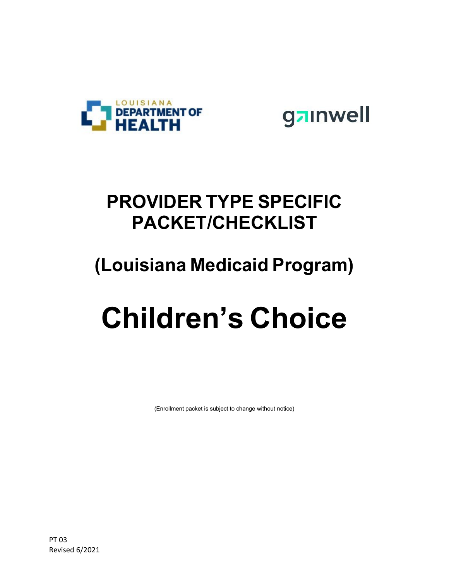

gainwell

### **PROVIDER TYPE SPECIFIC PACKET/CHECKLIST**

#### **(Louisiana Medicaid Program)**

# **Children's Choice**

(Enrollment packet is subject to change without notice)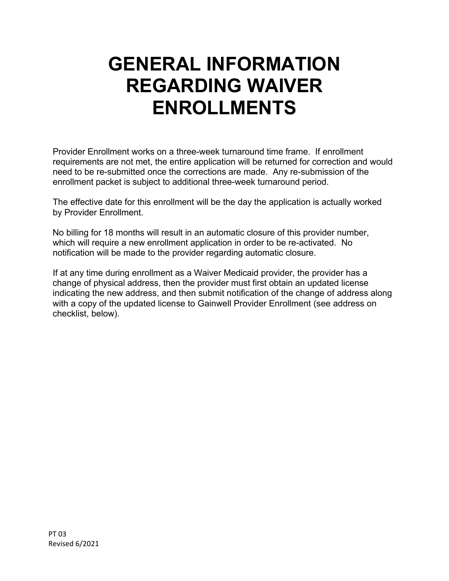## **GENERAL INFORMATION REGARDING WAIVER ENROLLMENTS**

Provider Enrollment works on a three-week turnaround time frame. If enrollment requirements are not met, the entire application will be returned for correction and would need to be re-submitted once the corrections are made. Any re-submission of the enrollment packet is subject to additional three-week turnaround period.

The effective date for this enrollment will be the day the application is actually worked by Provider Enrollment.

No billing for 18 months will result in an automatic closure of this provider number, which will require a new enrollment application in order to be re-activated. No notification will be made to the provider regarding automatic closure.

If at any time during enrollment as a Waiver Medicaid provider, the provider has a change of physical address, then the provider must first obtain an updated license indicating the new address, and then submit notification of the change of address along with a copy of the updated license to Gainwell Provider Enrollment (see address on checklist, below).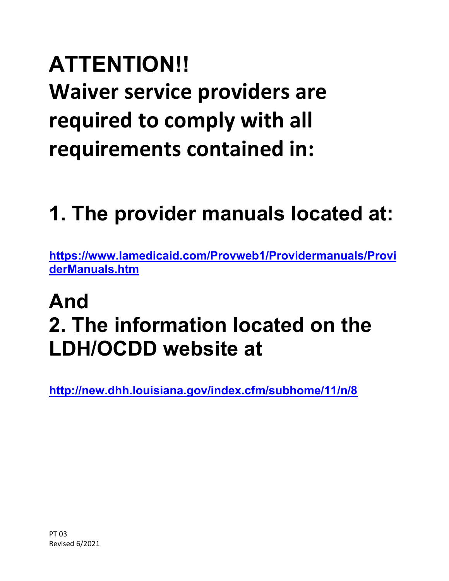# **ATTENTION!! Waiver service providers are required to comply with all requirements contained in:**

# **1. The provider manuals located at:**

**[https://www.lamedicaid.com/Provweb1/Providermanuals/Provi](https://www.lamedicaid.com/Provweb1/Providermanuals/ProviderManuals.htm) [derManuals.htm](https://www.lamedicaid.com/Provweb1/Providermanuals/ProviderManuals.htm)**

# **And 2. The information located on the LDH/OCDD website at**

**<http://new.dhh.louisiana.gov/index.cfm/subhome/11/n/8>**